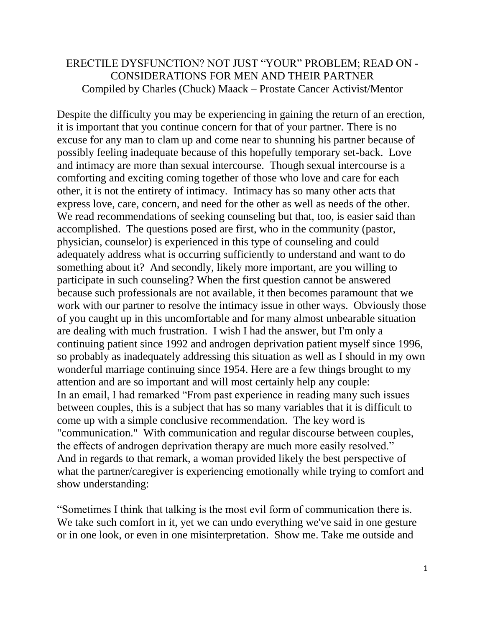## ERECTILE DYSFUNCTION? NOT JUST "YOUR" PROBLEM; READ ON - CONSIDERATIONS FOR MEN AND THEIR PARTNER Compiled by Charles (Chuck) Maack – Prostate Cancer Activist/Mentor

Despite the difficulty you may be experiencing in gaining the return of an erection, it is important that you continue concern for that of your partner. There is no excuse for any man to clam up and come near to shunning his partner because of possibly feeling inadequate because of this hopefully temporary set-back. Love and intimacy are more than sexual intercourse. Though sexual intercourse is a comforting and exciting coming together of those who love and care for each other, it is not the entirety of intimacy. Intimacy has so many other acts that express love, care, concern, and need for the other as well as needs of the other. We read recommendations of seeking counseling but that, too, is easier said than accomplished. The questions posed are first, who in the community (pastor, physician, counselor) is experienced in this type of counseling and could adequately address what is occurring sufficiently to understand and want to do something about it? And secondly, likely more important, are you willing to participate in such counseling? When the first question cannot be answered because such professionals are not available, it then becomes paramount that we work with our partner to resolve the intimacy issue in other ways. Obviously those of you caught up in this uncomfortable and for many almost unbearable situation are dealing with much frustration. I wish I had the answer, but I'm only a continuing patient since 1992 and androgen deprivation patient myself since 1996, so probably as inadequately addressing this situation as well as I should in my own wonderful marriage continuing since 1954. Here are a few things brought to my attention and are so important and will most certainly help any couple: In an email, I had remarked "From past experience in reading many such issues between couples, this is a subject that has so many variables that it is difficult to come up with a simple conclusive recommendation. The key word is "communication." With communication and regular discourse between couples, the effects of androgen deprivation therapy are much more easily resolved." And in regards to that remark, a woman provided likely the best perspective of what the partner/caregiver is experiencing emotionally while trying to comfort and show understanding:

"Sometimes I think that talking is the most evil form of communication there is. We take such comfort in it, yet we can undo everything we've said in one gesture or in one look, or even in one misinterpretation. Show me. Take me outside and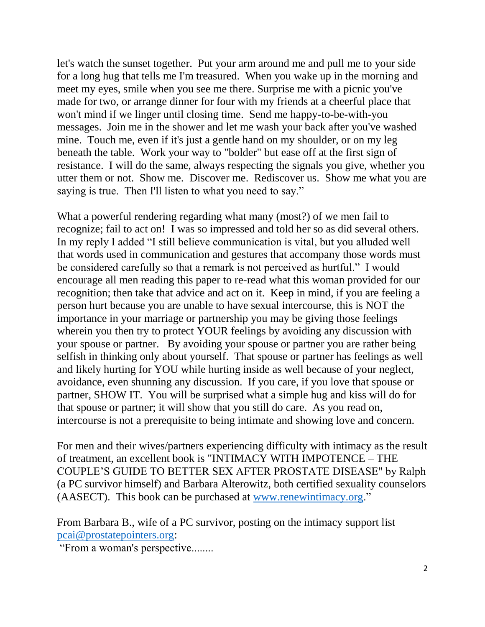let's watch the sunset together. Put your arm around me and pull me to your side for a long hug that tells me I'm treasured. When you wake up in the morning and meet my eyes, smile when you see me there. Surprise me with a picnic you've made for two, or arrange dinner for four with my friends at a cheerful place that won't mind if we linger until closing time. Send me happy-to-be-with-you messages. Join me in the shower and let me wash your back after you've washed mine. Touch me, even if it's just a gentle hand on my shoulder, or on my leg beneath the table. Work your way to "bolder" but ease off at the first sign of resistance. I will do the same, always respecting the signals you give, whether you utter them or not. Show me. Discover me. Rediscover us. Show me what you are saying is true. Then I'll listen to what you need to say."

What a powerful rendering regarding what many (most?) of we men fail to recognize; fail to act on! I was so impressed and told her so as did several others. In my reply I added "I still believe communication is vital, but you alluded well that words used in communication and gestures that accompany those words must be considered carefully so that a remark is not perceived as hurtful." I would encourage all men reading this paper to re-read what this woman provided for our recognition; then take that advice and act on it. Keep in mind, if you are feeling a person hurt because you are unable to have sexual intercourse, this is NOT the importance in your marriage or partnership you may be giving those feelings wherein you then try to protect YOUR feelings by avoiding any discussion with your spouse or partner. By avoiding your spouse or partner you are rather being selfish in thinking only about yourself. That spouse or partner has feelings as well and likely hurting for YOU while hurting inside as well because of your neglect, avoidance, even shunning any discussion. If you care, if you love that spouse or partner, SHOW IT. You will be surprised what a simple hug and kiss will do for that spouse or partner; it will show that you still do care. As you read on, intercourse is not a prerequisite to being intimate and showing love and concern.

For men and their wives/partners experiencing difficulty with intimacy as the result of treatment, an excellent book is "INTIMACY WITH IMPOTENCE – THE COUPLE'S GUIDE TO BETTER SEX AFTER PROSTATE DISEASE" by Ralph (a PC survivor himself) and Barbara Alterowitz, both certified sexuality counselors (AASECT). This book can be purchased at [www.renewintimacy.org.](http://www.renewintimacy.org/)"

From Barbara B., wife of a PC survivor, posting on the intimacy support list [pcai@prostatepointers.org:](mailto:pcai@prostatepointers.org)

"From a woman's perspective........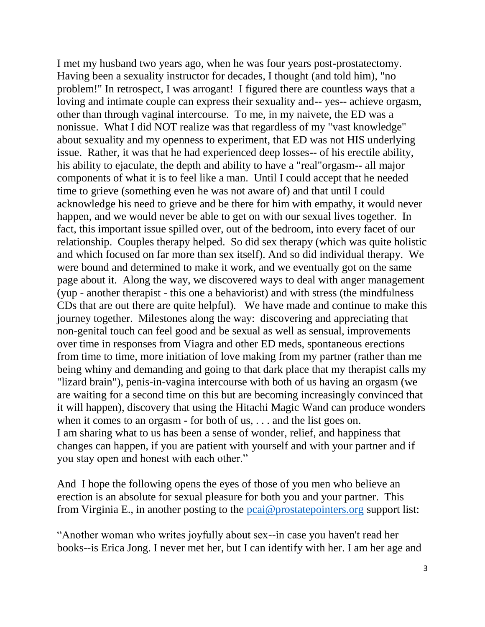I met my husband two years ago, when he was four years post-prostatectomy. Having been a sexuality instructor for decades, I thought (and told him), "no problem!" In retrospect, I was arrogant! I figured there are countless ways that a loving and intimate couple can express their sexuality and-- yes-- achieve orgasm, other than through vaginal intercourse. To me, in my naivete, the ED was a nonissue. What I did NOT realize was that regardless of my "vast knowledge" about sexuality and my openness to experiment, that ED was not HIS underlying issue. Rather, it was that he had experienced deep losses-- of his erectile ability, his ability to ejaculate, the depth and ability to have a "real"orgasm-- all major components of what it is to feel like a man. Until I could accept that he needed time to grieve (something even he was not aware of) and that until I could acknowledge his need to grieve and be there for him with empathy, it would never happen, and we would never be able to get on with our sexual lives together. In fact, this important issue spilled over, out of the bedroom, into every facet of our relationship. Couples therapy helped. So did sex therapy (which was quite holistic and which focused on far more than sex itself). And so did individual therapy. We were bound and determined to make it work, and we eventually got on the same page about it. Along the way, we discovered ways to deal with anger management (yup - another therapist - this one a behaviorist) and with stress (the mindfulness CDs that are out there are quite helpful). We have made and continue to make this journey together. Milestones along the way: discovering and appreciating that non-genital touch can feel good and be sexual as well as sensual, improvements over time in responses from Viagra and other ED meds, spontaneous erections from time to time, more initiation of love making from my partner (rather than me being whiny and demanding and going to that dark place that my therapist calls my "lizard brain"), penis-in-vagina intercourse with both of us having an orgasm (we are waiting for a second time on this but are becoming increasingly convinced that it will happen), discovery that using the Hitachi Magic Wand can produce wonders when it comes to an orgasm - for both of us, . . . and the list goes on. I am sharing what to us has been a sense of wonder, relief, and happiness that changes can happen, if you are patient with yourself and with your partner and if you stay open and honest with each other."

And I hope the following opens the eyes of those of you men who believe an erection is an absolute for sexual pleasure for both you and your partner. This from Virginia E., in another posting to the [pcai@prostatepointers.org](mailto:pcai@prostatepointers.org) support list:

"Another woman who writes joyfully about sex--in case you haven't read her books--is Erica Jong. I never met her, but I can identify with her. I am her age and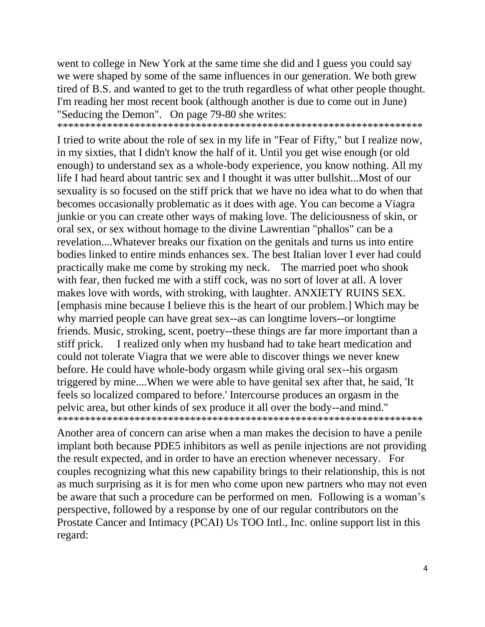went to college in New York at the same time she did and I guess you could say we were shaped by some of the same influences in our generation. We both grew tired of B.S. and wanted to get to the truth regardless of what other people thought. I'm reading her most recent book (although another is due to come out in June) "Seducing the Demon". On page 79-80 she writes:

\*\*\*\*\*\*\*\*\*\*\*\*\*\*\*\*\*\*\*\*\*\*\*\*\*\*\*\*\*\*\*\*\*\*\*\*\*\*\*\*\*\*\*\*\*\*\*\*\*\*\*\*\*\*\*\*\*\*\*\*\*\*\*\*\*\*

I tried to write about the role of sex in my life in "Fear of Fifty," but I realize now, in my sixties, that I didn't know the half of it. Until you get wise enough (or old enough) to understand sex as a whole-body experience, you know nothing. All my life I had heard about tantric sex and I thought it was utter bullshit...Most of our sexuality is so focused on the stiff prick that we have no idea what to do when that becomes occasionally problematic as it does with age. You can become a Viagra junkie or you can create other ways of making love. The deliciousness of skin, or oral sex, or sex without homage to the divine Lawrentian "phallos" can be a revelation....Whatever breaks our fixation on the genitals and turns us into entire bodies linked to entire minds enhances sex. The best Italian lover I ever had could practically make me come by stroking my neck. The married poet who shook with fear, then fucked me with a stiff cock, was no sort of lover at all. A lover makes love with words, with stroking, with laughter. ANXIETY RUINS SEX. [emphasis mine because I believe this is the heart of our problem.] Which may be why married people can have great sex--as can longtime lovers--or longtime friends. Music, stroking, scent, poetry--these things are far more important than a stiff prick. I realized only when my husband had to take heart medication and could not tolerate Viagra that we were able to discover things we never knew before. He could have whole-body orgasm while giving oral sex--his orgasm triggered by mine....When we were able to have genital sex after that, he said, 'It feels so localized compared to before.' Intercourse produces an orgasm in the pelvic area, but other kinds of sex produce it all over the body--and mind." \*\*\*\*\*\*\*\*\*\*\*\*\*\*\*\*\*\*\*\*\*\*\*\*\*\*\*\*\*\*\*\*\*\*\*\*\*\*\*\*\*\*\*\*\*\*\*\*\*\*\*\*\*\*\*\*\*\*\*\*\*\*\*\*\*\*

Another area of concern can arise when a man makes the decision to have a penile implant both because PDE5 inhibitors as well as penile injections are not providing the result expected, and in order to have an erection whenever necessary. For couples recognizing what this new capability brings to their relationship, this is not as much surprising as it is for men who come upon new partners who may not even be aware that such a procedure can be performed on men. Following is a woman's perspective, followed by a response by one of our regular contributors on the Prostate Cancer and Intimacy (PCAI) Us TOO Intl., Inc. online support list in this regard: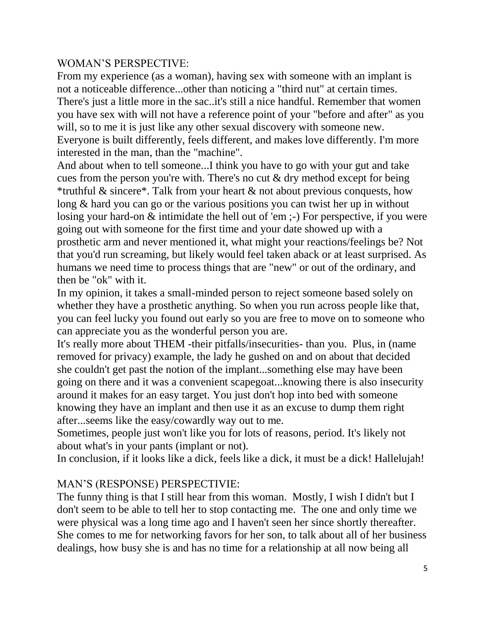## WOMAN'S PERSPECTIVE:

From my experience (as a woman), having sex with someone with an implant is not a noticeable difference...other than noticing a "third nut" at certain times. There's just a little more in the sac..it's still a nice handful. Remember that women you have sex with will not have a reference point of your "before and after" as you will, so to me it is just like any other sexual discovery with someone new. Everyone is built differently, feels different, and makes love differently. I'm more interested in the man, than the "machine".

And about when to tell someone...I think you have to go with your gut and take cues from the person you're with. There's no cut & dry method except for being \*truthful & sincere\*. Talk from your heart  $\&$  not about previous conquests, how long & hard you can go or the various positions you can twist her up in without losing your hard-on & intimidate the hell out of 'em ;-) For perspective, if you were going out with someone for the first time and your date showed up with a prosthetic arm and never mentioned it, what might your reactions/feelings be? Not that you'd run screaming, but likely would feel taken aback or at least surprised. As humans we need time to process things that are "new" or out of the ordinary, and then be "ok" with it.

In my opinion, it takes a small-minded person to reject someone based solely on whether they have a prosthetic anything. So when you run across people like that, you can feel lucky you found out early so you are free to move on to someone who can appreciate you as the wonderful person you are.

It's really more about THEM -their pitfalls/insecurities- than you. Plus, in (name removed for privacy) example, the lady he gushed on and on about that decided she couldn't get past the notion of the implant...something else may have been going on there and it was a convenient scapegoat...knowing there is also insecurity around it makes for an easy target. You just don't hop into bed with someone knowing they have an implant and then use it as an excuse to dump them right after...seems like the easy/cowardly way out to me.

Sometimes, people just won't like you for lots of reasons, period. It's likely not about what's in your pants (implant or not).

In conclusion, if it looks like a dick, feels like a dick, it must be a dick! Hallelujah!

## MAN'S (RESPONSE) PERSPECTIVIE:

The funny thing is that I still hear from this woman. Mostly, I wish I didn't but I don't seem to be able to tell her to stop contacting me. The one and only time we were physical was a long time ago and I haven't seen her since shortly thereafter. She comes to me for networking favors for her son, to talk about all of her business dealings, how busy she is and has no time for a relationship at all now being all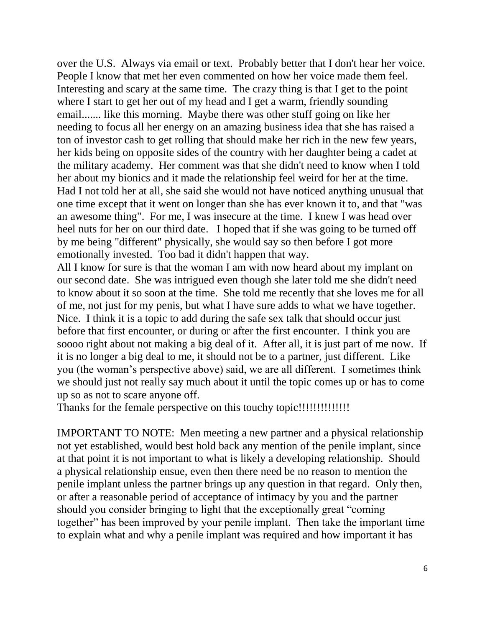over the U.S. Always via email or text. Probably better that I don't hear her voice. People I know that met her even commented on how her voice made them feel. Interesting and scary at the same time. The crazy thing is that I get to the point where I start to get her out of my head and I get a warm, friendly sounding email....... like this morning. Maybe there was other stuff going on like her needing to focus all her energy on an amazing business idea that she has raised a ton of investor cash to get rolling that should make her rich in the new few years, her kids being on opposite sides of the country with her daughter being a cadet at the military academy. Her comment was that she didn't need to know when I told her about my bionics and it made the relationship feel weird for her at the time. Had I not told her at all, she said she would not have noticed anything unusual that one time except that it went on longer than she has ever known it to, and that "was an awesome thing". For me, I was insecure at the time. I knew I was head over heel nuts for her on our third date. I hoped that if she was going to be turned off by me being "different" physically, she would say so then before I got more emotionally invested. Too bad it didn't happen that way.

All I know for sure is that the woman I am with now heard about my implant on our second date. She was intrigued even though she later told me she didn't need to know about it so soon at the time. She told me recently that she loves me for all of me, not just for my penis, but what I have sure adds to what we have together. Nice. I think it is a topic to add during the safe sex talk that should occur just before that first encounter, or during or after the first encounter. I think you are soooo right about not making a big deal of it. After all, it is just part of me now. If it is no longer a big deal to me, it should not be to a partner, just different. Like you (the woman's perspective above) said, we are all different. I sometimes think we should just not really say much about it until the topic comes up or has to come up so as not to scare anyone off.

Thanks for the female perspective on this touchy topic!!!!!!!!!!!!!!

IMPORTANT TO NOTE: Men meeting a new partner and a physical relationship not yet established, would best hold back any mention of the penile implant, since at that point it is not important to what is likely a developing relationship. Should a physical relationship ensue, even then there need be no reason to mention the penile implant unless the partner brings up any question in that regard. Only then, or after a reasonable period of acceptance of intimacy by you and the partner should you consider bringing to light that the exceptionally great "coming together" has been improved by your penile implant. Then take the important time to explain what and why a penile implant was required and how important it has